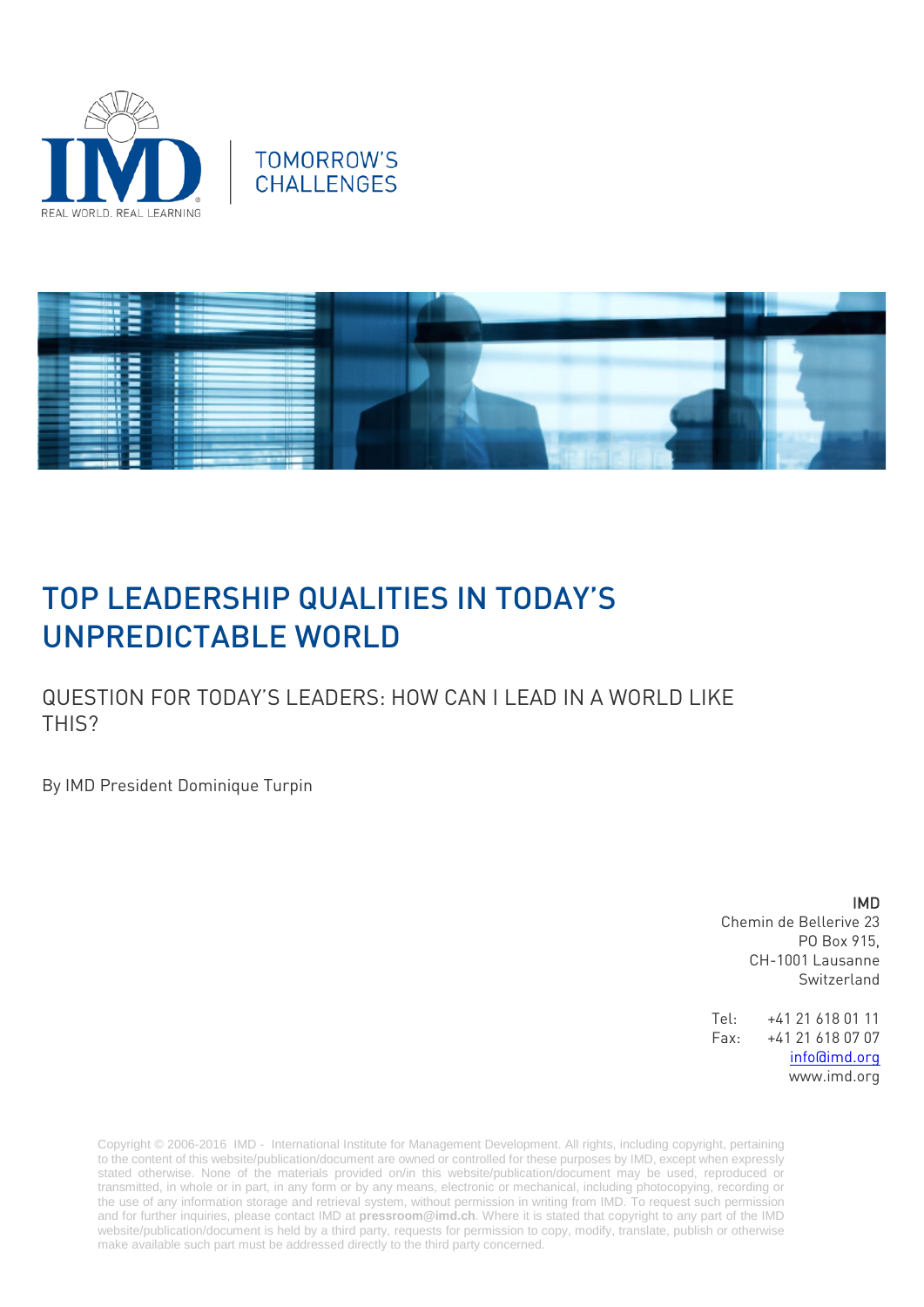





# TOP LEADERSHIP QUALITIES IN TODAY'S UNPREDICTABLE WORLD

QUESTION FOR TODAY'S LEADERS: HOW CAN I LEAD IN A WORLD LIKE THIS?

By IMD President Dominique Turpin

#### IMD

Chemin de Bellerive 23 PO Box 915, CH-1001 Lausanne Switzerland

Tel: +41 21 618 01 11 Fax: +41 21 618 07 07 [info@imd.org](mailto:info@imd.org) www.imd.org

Copyright © 2006-2016 IMD - International Institute for Management Development. All rights, including copyright, pertaining to the content of this website/publication/document are owned or controlled for these purposes by IMD, except when expressly stated otherwise. None of the materials provided on/in this website/publication/document may be used, reproduced or transmitted, in whole or in part, in any form or by any means, electronic or mechanical, including photocopying, recording or the use of any information storage and retrieval system, without permission in writing from IMD. To request such permission and for further inquiries, please contact IMD at **[pressroom@imd.ch](mailto:pressroom@imd.ch)**. Where it is stated that copyright to any part of the IMD website/publication/document is held by a third party, requests for permission to copy, modify, translate, publish or otherwise make available such part must be addressed directly to the third party concerned.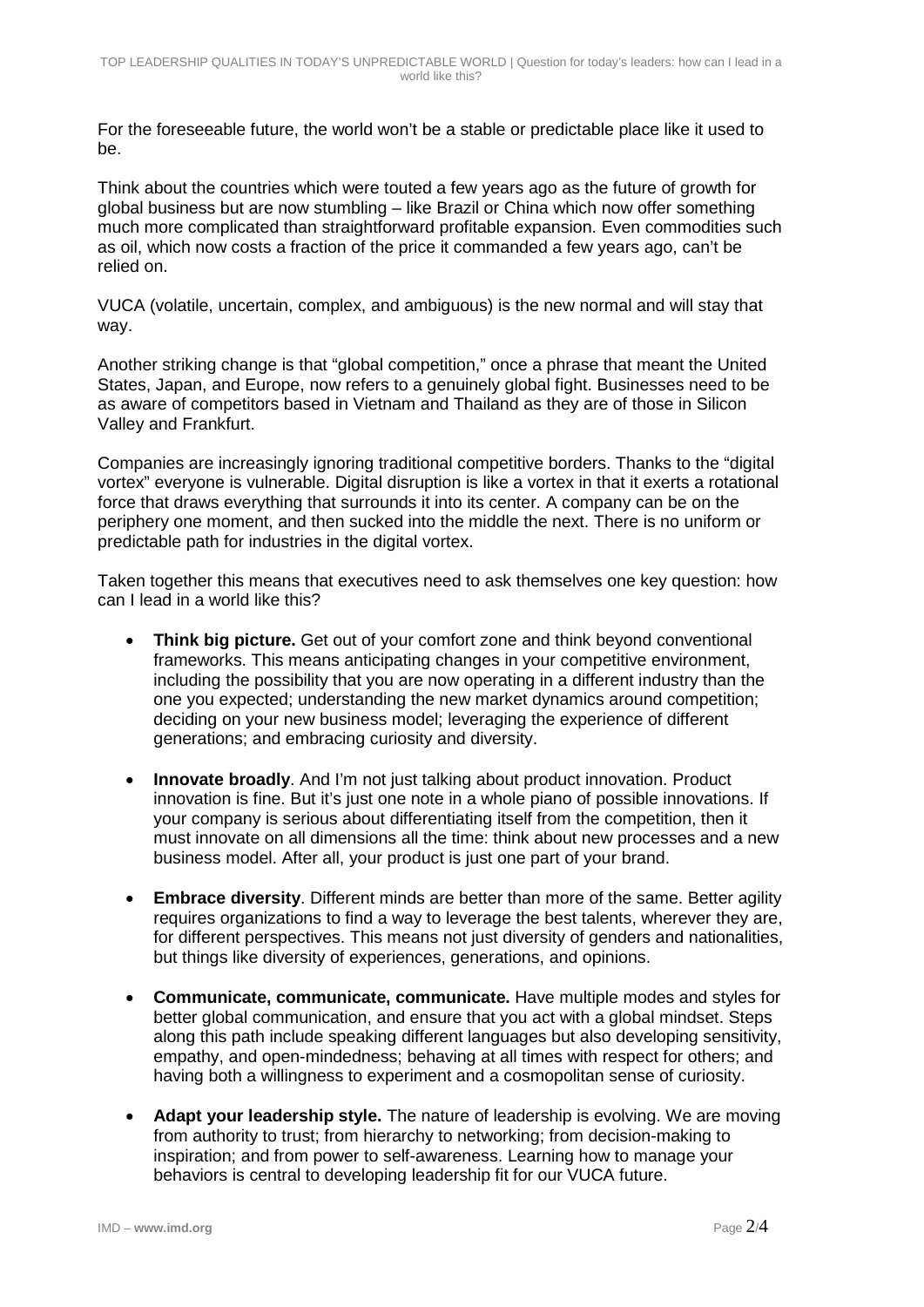For the foreseeable future, the world won't be a stable or predictable place like it used to be.

Think about the countries which were touted a few years ago as the future of growth for global business but are now stumbling – like Brazil or China which now offer something much more complicated than straightforward profitable expansion. Even commodities such as oil, which now costs a fraction of the price it commanded a few years ago, can't be relied on.

VUCA (volatile, uncertain, complex, and ambiguous) is the new normal and will stay that way.

Another striking change is that "global competition," once a phrase that meant the United States, Japan, and Europe, now refers to a genuinely global fight. Businesses need to be as aware of competitors based in Vietnam and Thailand as they are of those in Silicon Valley and Frankfurt.

Companies are increasingly ignoring traditional competitive borders. Thanks to the "digital vortex" everyone is vulnerable. Digital disruption is like a vortex in that it exerts a rotational force that draws everything that surrounds it into its center. A company can be on the periphery one moment, and then sucked into the middle the next. There is no uniform or predictable path for industries in the digital vortex.

Taken together this means that executives need to ask themselves one key question: how can I lead in a world like this?

- **Think big picture.** Get out of your comfort zone and think beyond conventional frameworks. This means anticipating changes in your competitive environment, including the possibility that you are now operating in a different industry than the one you expected; understanding the new market dynamics around competition; deciding on your new business model; leveraging the experience of different generations; and embracing curiosity and diversity.
- **Innovate broadly**. And I'm not just talking about product innovation. Product innovation is fine. But it's just one note in a whole piano of possible innovations. If your company is serious about differentiating itself from the competition, then it must innovate on all dimensions all the time: think about new processes and a new business model. After all, your product is just one part of your brand.
- **Embrace diversity**. Different minds are better than more of the same. Better agility requires organizations to find a way to leverage the best talents, wherever they are, for different perspectives. This means not just diversity of genders and nationalities, but things like diversity of experiences, generations, and opinions.
- **Communicate, communicate, communicate.** Have multiple modes and styles for better global communication, and ensure that you act with a global mindset. Steps along this path include speaking different languages but also developing sensitivity, empathy, and open-mindedness; behaving at all times with respect for others; and having both a willingness to experiment and a cosmopolitan sense of curiosity.
- **Adapt your leadership style.** The nature of leadership is evolving. We are moving from authority to trust; from hierarchy to networking; from decision-making to inspiration; and from power to self-awareness. Learning how to manage your behaviors is central to developing leadership fit for our VUCA future.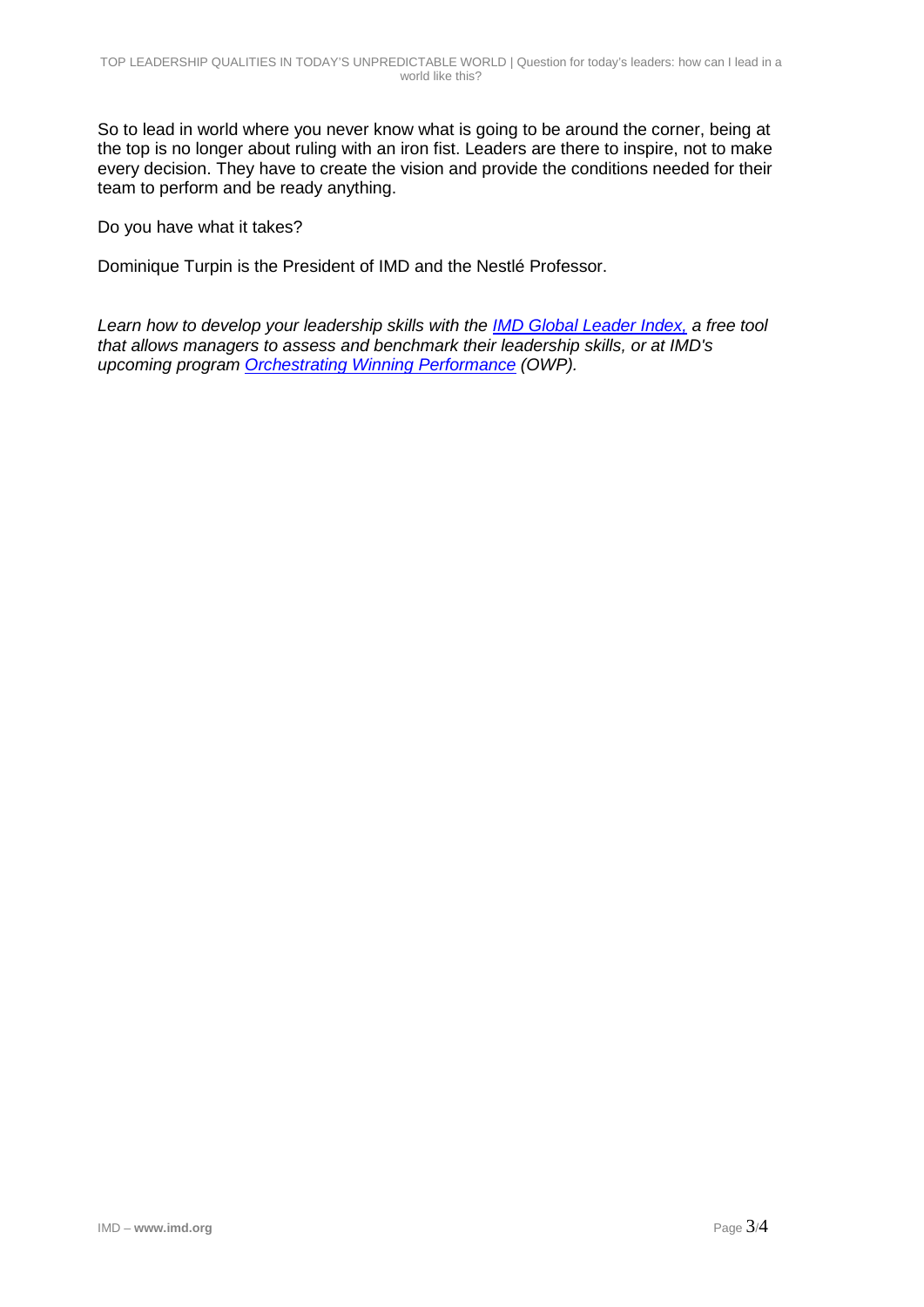So to lead in world where you never know what is going to be around the corner, being at the top is no longer about ruling with an iron fist. Leaders are there to inspire, not to make every decision. They have to create the vision and provide the conditions needed for their team to perform and be ready anything.

Do you have what it takes?

Dominique Turpin is the President of IMD and the Nestlé Professor.

*Learn how to develop your leadership skills with the [IMD Global Leader Index,](https://www.imd.org/business-school/gli/gli-get-started.html?mrk_cmpg_source=SM_LK_FI_INF&utm_source=LinkedIn&utm_medium=Social&utm_campaign=SM_LK_FI_INF) a free tool that allows managers to assess and benchmark their leadership skills, or at IMD's upcoming program [Orchestrating Winning Performance](https://www.imd.org/owp/business-courses/?mrk_cmpg_source=SM_LK_FI_INF&utm_source=LinkedIn&utm_medium=Social&utm_campaign=SM_LK_FI_INF) (OWP).*